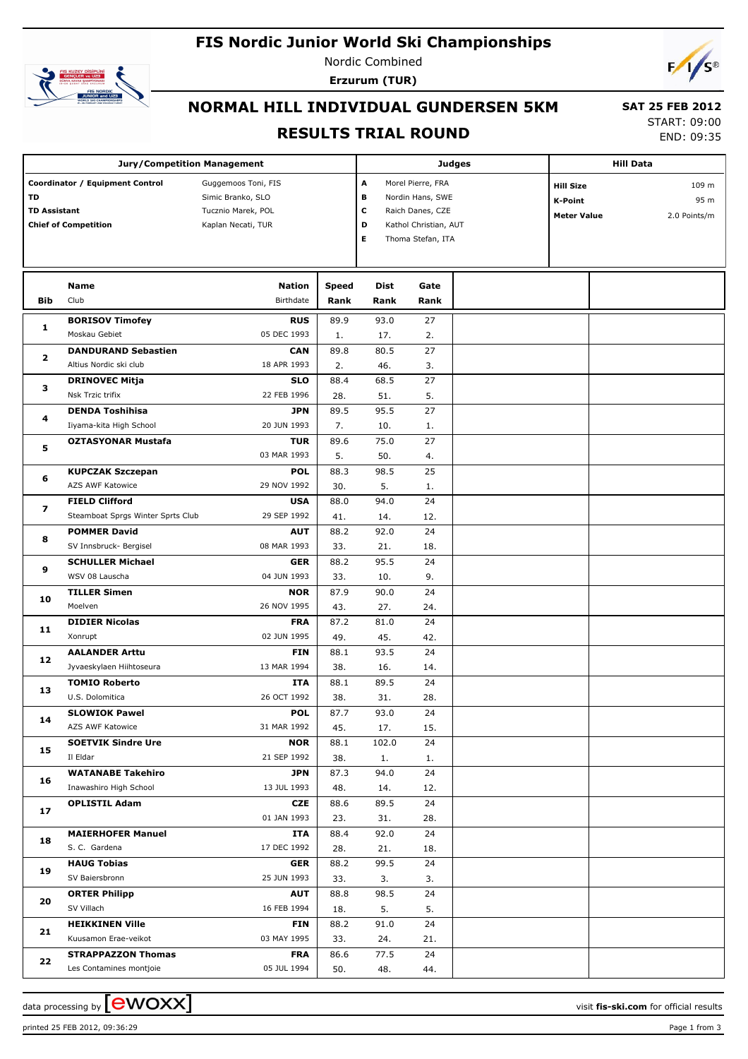# **FIS Nordic Junior World Ski Championships**



Nordic Combined **Erzurum (TUR)**



## **NORMAL HILL INDIVIDUAL GUNDERSEN 5KM**

#### **RESULTS TRIAL ROUND**

 **SAT 25 FEB 2012** START: 09:00 END: 09:35

|                                                                                             | <b>Jury/Competition Management</b>                   |                                                                                      |              | Judges           | <b>Hill Data</b>                                                                   |  |                                                          |  |                               |
|---------------------------------------------------------------------------------------------|------------------------------------------------------|--------------------------------------------------------------------------------------|--------------|------------------|------------------------------------------------------------------------------------|--|----------------------------------------------------------|--|-------------------------------|
| Coordinator / Equipment Control<br>TD<br><b>TD Assistant</b><br><b>Chief of Competition</b> |                                                      | Guggemoos Toni, FIS<br>Simic Branko, SLO<br>Tucznio Marek, POL<br>Kaplan Necati, TUR |              | A<br>в<br>c<br>D | Morel Pierre, FRA<br>Nordin Hans, SWE<br>Raich Danes, CZE<br>Kathol Christian, AUT |  | <b>Hill Size</b><br><b>K-Point</b><br><b>Meter Value</b> |  | 109 m<br>95 m<br>2.0 Points/m |
|                                                                                             |                                                      |                                                                                      |              | Е                | Thoma Stefan, ITA                                                                  |  |                                                          |  |                               |
|                                                                                             | Name                                                 | <b>Nation</b>                                                                        | <b>Speed</b> | <b>Dist</b>      | Gate                                                                               |  |                                                          |  |                               |
| <b>Bib</b>                                                                                  | Club                                                 | Birthdate                                                                            | Rank         | Rank             | Rank                                                                               |  |                                                          |  |                               |
|                                                                                             | <b>BORISOV Timofey</b>                               | <b>RUS</b>                                                                           | 89.9         | 93.0             | 27                                                                                 |  |                                                          |  |                               |
| 1                                                                                           | Moskau Gebiet                                        | 05 DEC 1993                                                                          | 1.           | 17.              | 2.                                                                                 |  |                                                          |  |                               |
| $\mathbf{2}$                                                                                | <b>DANDURAND Sebastien</b>                           | <b>CAN</b>                                                                           | 89.8         | 80.5             | 27                                                                                 |  |                                                          |  |                               |
|                                                                                             | Altius Nordic ski club                               | 18 APR 1993                                                                          | 2.           | 46.              | 3.                                                                                 |  |                                                          |  |                               |
| з                                                                                           | <b>DRINOVEC Mitja</b>                                | <b>SLO</b>                                                                           | 88.4         | 68.5             | 27                                                                                 |  |                                                          |  |                               |
|                                                                                             | Nsk Trzic trifix                                     | 22 FEB 1996                                                                          | 28.          | 51.              | 5.                                                                                 |  |                                                          |  |                               |
| 4                                                                                           | <b>DENDA Toshihisa</b>                               | <b>JPN</b>                                                                           | 89.5         | 95.5             | 27                                                                                 |  |                                                          |  |                               |
|                                                                                             | Iiyama-kita High School                              | 20 JUN 1993                                                                          | 7.           | 10.              | 1.                                                                                 |  |                                                          |  |                               |
| 5                                                                                           | <b>OZTASYONAR Mustafa</b>                            | <b>TUR</b>                                                                           | 89.6         | 75.0             | 27                                                                                 |  |                                                          |  |                               |
|                                                                                             |                                                      | 03 MAR 1993                                                                          | 5.           | 50.              | 4.                                                                                 |  |                                                          |  |                               |
| 6                                                                                           | <b>KUPCZAK Szczepan</b><br><b>AZS AWF Katowice</b>   | <b>POL</b><br>29 NOV 1992                                                            | 88.3<br>30.  | 98.5<br>5.       | 25<br>1.                                                                           |  |                                                          |  |                               |
| 7                                                                                           | <b>FIELD Clifford</b>                                | <b>USA</b>                                                                           | 88.0         | 94.0             | 24                                                                                 |  |                                                          |  |                               |
|                                                                                             | Steamboat Sprgs Winter Sprts Club                    | 29 SEP 1992                                                                          | 41.          | 14.              | 12.                                                                                |  |                                                          |  |                               |
| 8                                                                                           | <b>POMMER David</b>                                  | <b>AUT</b>                                                                           | 88.2         | 92.0             | 24                                                                                 |  |                                                          |  |                               |
|                                                                                             | SV Innsbruck- Bergisel                               | 08 MAR 1993                                                                          | 33.          | 21.              | 18.                                                                                |  |                                                          |  |                               |
|                                                                                             | <b>SCHULLER Michael</b>                              | <b>GER</b>                                                                           | 88.2         | 95.5             | 24                                                                                 |  |                                                          |  |                               |
| 9                                                                                           | WSV 08 Lauscha                                       | 04 JUN 1993                                                                          | 33.          | 10.              | 9.                                                                                 |  |                                                          |  |                               |
|                                                                                             | <b>TILLER Simen</b>                                  | <b>NOR</b>                                                                           | 87.9         | 90.0             | 24                                                                                 |  |                                                          |  |                               |
| 10                                                                                          | Moelven                                              | 26 NOV 1995                                                                          | 43.          | 27.              | 24.                                                                                |  |                                                          |  |                               |
| 11                                                                                          | <b>DIDIER Nicolas</b>                                | <b>FRA</b>                                                                           | 87.2         | 81.0             | 24                                                                                 |  |                                                          |  |                               |
|                                                                                             | Xonrupt                                              | 02 JUN 1995                                                                          | 49.          | 45.              | 42.                                                                                |  |                                                          |  |                               |
| 12                                                                                          | <b>AALANDER Arttu</b>                                | FIN                                                                                  | 88.1         | 93.5             | 24                                                                                 |  |                                                          |  |                               |
|                                                                                             | Jyvaeskylaen Hiihtoseura                             | 13 MAR 1994                                                                          | 38.          | 16.              | 14.                                                                                |  |                                                          |  |                               |
| 13                                                                                          | <b>TOMIO Roberto</b>                                 | ITA                                                                                  | 88.1         | 89.5             | 24                                                                                 |  |                                                          |  |                               |
|                                                                                             | U.S. Dolomitica                                      | 26 OCT 1992                                                                          | 38.          | 31.              | 28.                                                                                |  |                                                          |  |                               |
| 14                                                                                          | <b>SLOWIOK Pawel</b><br>AZS AWF Katowice             | <b>POL</b><br>31 MAR 1992                                                            | 87.7<br>45.  | 93.0<br>17.      | 24<br>15.                                                                          |  |                                                          |  |                               |
|                                                                                             | <b>SOETVIK Sindre Ure</b>                            | <b>NOR</b>                                                                           | 88.1         | 102.0            | 24                                                                                 |  |                                                          |  |                               |
| 15                                                                                          | Il Eldar                                             | 21 SEP 1992                                                                          | 38.          | 1.               | 1.                                                                                 |  |                                                          |  |                               |
|                                                                                             | <b>WATANABE Takehiro</b>                             | <b>JPN</b>                                                                           | 87.3         | 94.0             | 24                                                                                 |  |                                                          |  |                               |
| 16                                                                                          | Inawashiro High School                               | 13 JUL 1993                                                                          | 48.          | 14.              | 12.                                                                                |  |                                                          |  |                               |
|                                                                                             | <b>OPLISTIL Adam</b>                                 | CZE                                                                                  | 88.6         | 89.5             | 24                                                                                 |  |                                                          |  |                               |
| 17                                                                                          |                                                      | 01 JAN 1993                                                                          | 23.          | 31.              | 28.                                                                                |  |                                                          |  |                               |
|                                                                                             | <b>MAIERHOFER Manuel</b>                             | ITA                                                                                  | 88.4         | 92.0             | 24                                                                                 |  |                                                          |  |                               |
| 18                                                                                          | S. C. Gardena                                        | 17 DEC 1992                                                                          | 28.          | 21.              | 18.                                                                                |  |                                                          |  |                               |
| 19                                                                                          | <b>HAUG Tobias</b>                                   | <b>GER</b>                                                                           | 88.2         | 99.5             | 24                                                                                 |  |                                                          |  |                               |
|                                                                                             | SV Baiersbronn                                       | 25 JUN 1993                                                                          | 33.          | 3.               | 3.                                                                                 |  |                                                          |  |                               |
| 20                                                                                          | <b>ORTER Philipp</b>                                 | <b>AUT</b>                                                                           | 88.8         | 98.5             | 24                                                                                 |  |                                                          |  |                               |
|                                                                                             | SV Villach                                           | 16 FEB 1994                                                                          | 18.          | 5.               | 5.                                                                                 |  |                                                          |  |                               |
| 21                                                                                          | <b>HEIKKINEN Ville</b>                               | FIN                                                                                  | 88.2         | 91.0             | 24                                                                                 |  |                                                          |  |                               |
|                                                                                             | Kuusamon Erae-veikot                                 | 03 MAY 1995                                                                          | 33.          | 24.              | 21.                                                                                |  |                                                          |  |                               |
| 22                                                                                          | <b>STRAPPAZZON Thomas</b><br>Les Contamines montjoie | <b>FRA</b><br>05 JUL 1994                                                            | 86.6         | 77.5<br>48.      | 24                                                                                 |  |                                                          |  |                               |
|                                                                                             |                                                      |                                                                                      | 50.          |                  | 44.                                                                                |  |                                                          |  |                               |

data processing by  $\boxed{\text{ewOX}}$ 

printed 25 FEB 2012, 09:36:29 **Page 1** from 3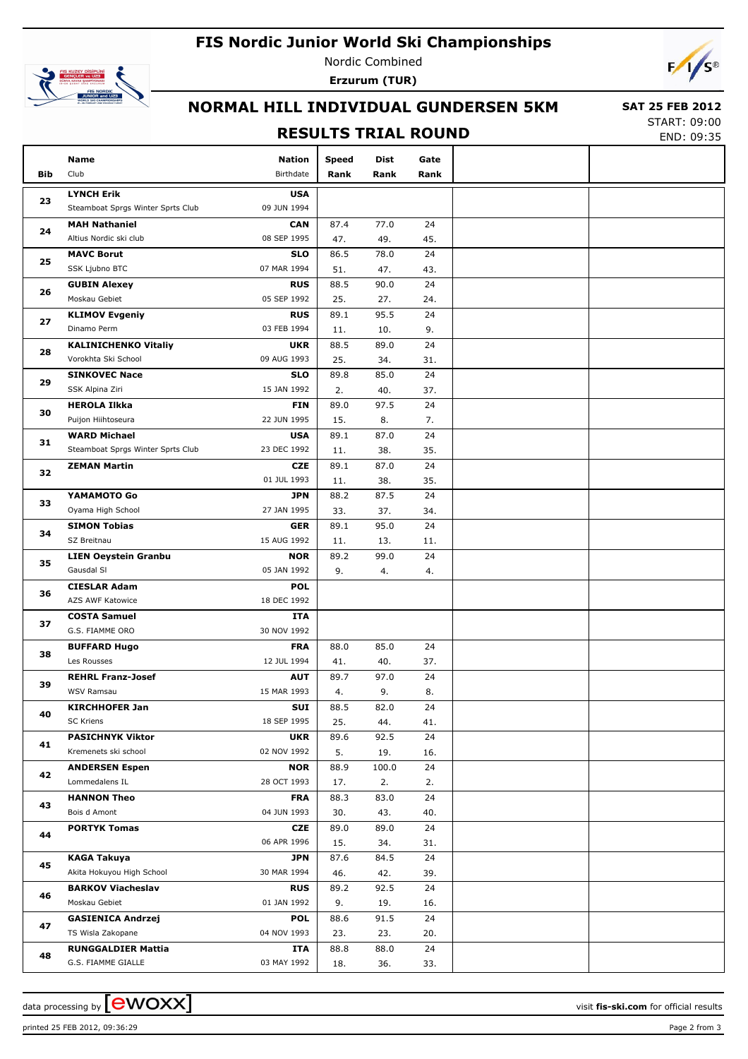# **FIS Nordic Junior World Ski Championships**



Nordic Combined **Erzurum (TUR)**



### **NORMAL HILL INDIVIDUAL GUNDERSEN 5KM**

#### **RESULTS TRIAL ROUND**

 **SAT 25 FEB 2012** START: 09:00

END: 09:35

| Bib | Name<br>Club                           | <b>Nation</b><br>Birthdate | <b>Speed</b><br>Rank | Dist<br>Rank | Gate<br>Rank |  |
|-----|----------------------------------------|----------------------------|----------------------|--------------|--------------|--|
|     |                                        |                            |                      |              |              |  |
| 23  | <b>LYNCH Erik</b>                      | <b>USA</b>                 |                      |              |              |  |
|     | Steamboat Sprgs Winter Sprts Club      | 09 JUN 1994                |                      |              |              |  |
| 24  | <b>MAH Nathaniel</b>                   | <b>CAN</b>                 | 87.4                 | 77.0         | 24           |  |
|     | Altius Nordic ski club                 | 08 SEP 1995                | 47.                  | 49.          | 45.          |  |
| 25  | <b>MAVC Borut</b>                      | <b>SLO</b>                 | 86.5                 | 78.0         | 24           |  |
|     | SSK Ljubno BTC                         | 07 MAR 1994                | 51.                  | 47.          | 43.          |  |
| 26  | <b>GUBIN Alexey</b>                    | <b>RUS</b>                 | 88.5                 | 90.0         | 24           |  |
|     | Moskau Gebiet                          | 05 SEP 1992                | 25.                  | 27.          | 24.          |  |
| 27  | <b>KLIMOV Evgeniy</b>                  | <b>RUS</b>                 | 89.1                 | 95.5         | 24           |  |
|     | Dinamo Perm                            | 03 FEB 1994                | 11.                  | 10.          | 9.           |  |
| 28  | <b>KALINICHENKO Vitaliy</b>            | <b>UKR</b>                 | 88.5                 | 89.0         | 24           |  |
|     | Vorokhta Ski School                    | 09 AUG 1993                | 25.                  | 34.          | 31.          |  |
| 29  | <b>SINKOVEC Nace</b>                   | <b>SLO</b>                 | 89.8                 | 85.0         | 24           |  |
|     | SSK Alpina Ziri                        | 15 JAN 1992                | 2.                   | 40.          | 37.          |  |
| 30  | <b>HEROLA Ilkka</b>                    | <b>FIN</b>                 | 89.0                 | 97.5         | 24           |  |
|     | Puijon Hiihtoseura                     | 22 JUN 1995                | 15.                  | 8.           | 7.           |  |
| 31  | <b>WARD Michael</b>                    | <b>USA</b>                 | 89.1                 | 87.0         | 24           |  |
|     | Steamboat Sprgs Winter Sprts Club      | 23 DEC 1992                | 11.                  | 38.          | 35.          |  |
| 32  | <b>ZEMAN Martin</b>                    | <b>CZE</b>                 | 89.1                 | 87.0         | 24           |  |
|     |                                        | 01 JUL 1993                | 11.                  | 38.          | 35.          |  |
| 33  | YAMAMOTO Go                            | <b>JPN</b>                 | 88.2                 | 87.5         | 24           |  |
| 34  | Oyama High School                      | 27 JAN 1995                | 33.                  | 37.          | 34.          |  |
|     | <b>SIMON Tobias</b>                    | <b>GER</b>                 | 89.1                 | 95.0         | 24           |  |
| 35  | SZ Breitnau                            | 15 AUG 1992                | 11.                  | 13.          | 11.          |  |
|     | <b>LIEN Oeystein Granbu</b>            | <b>NOR</b>                 | 89.2                 | 99.0         | 24           |  |
|     | Gausdal SI                             | 05 JAN 1992                | 9.                   | 4.           | 4.           |  |
| 36  | <b>CIESLAR Adam</b>                    | <b>POL</b>                 |                      |              |              |  |
|     | AZS AWF Katowice                       | 18 DEC 1992                |                      |              |              |  |
| 37  | <b>COSTA Samuel</b>                    | ITA                        |                      |              |              |  |
|     | G.S. FIAMME ORO                        | 30 NOV 1992                |                      |              |              |  |
| 38  | <b>BUFFARD Hugo</b>                    | <b>FRA</b>                 | 88.0                 | 85.0         | 24           |  |
|     | Les Rousses                            | 12 JUL 1994                | 41.                  | 40.          | 37.          |  |
| 39  | <b>REHRL Franz-Josef</b><br>WSV Ramsau | <b>AUT</b><br>15 MAR 1993  | 89.7                 | 97.0         | 24           |  |
|     |                                        |                            | 4.                   | 9.           | 8.           |  |
| 40  | <b>KIRCHHOFER Jan</b><br>SC Kriens     | SUI<br>18 SEP 1995         | 88.5                 | 82.0         | 24           |  |
|     | <b>PASICHNYK Viktor</b>                | <b>UKR</b>                 | 25.<br>89.6          | 44.<br>92.5  | 41.<br>24    |  |
| 41  | Kremenets ski school                   | 02 NOV 1992                | 5.                   | 19.          | 16.          |  |
|     | <b>ANDERSEN Espen</b>                  | <b>NOR</b>                 | 88.9                 | 100.0        | 24           |  |
| 42  | Lommedalens IL                         | 28 OCT 1993                | 17.                  | 2.           | 2.           |  |
|     | <b>HANNON Theo</b>                     | <b>FRA</b>                 | 88.3                 | 83.0         | 24           |  |
| 43  | Bois d Amont                           | 04 JUN 1993                | 30.                  | 43.          | 40.          |  |
|     | <b>PORTYK Tomas</b>                    | CZE                        | 89.0                 | 89.0         | 24           |  |
| 44  |                                        | 06 APR 1996                | 15.                  | 34.          | 31.          |  |
|     | KAGA Takuya                            | <b>JPN</b>                 | 87.6                 | 84.5         | 24           |  |
| 45  | Akita Hokuyou High School              | 30 MAR 1994                | 46.                  | 42.          | 39.          |  |
| 46  | <b>BARKOV Viacheslav</b>               | <b>RUS</b>                 | 89.2                 | 92.5         | 24           |  |
|     | Moskau Gebiet                          | 01 JAN 1992                | 9.                   | 19.          | 16.          |  |
|     | <b>GASIENICA Andrzej</b>               | <b>POL</b>                 | 88.6                 | 91.5         | 24           |  |
| 47  | TS Wisla Zakopane                      | 04 NOV 1993                | 23.                  | 23.          | 20.          |  |
|     | <b>RUNGGALDIER Mattia</b>              | ITA                        | 88.8                 | 88.0         | 24           |  |
| 48  | G.S. FIAMME GIALLE                     | 03 MAY 1992                | 18.                  | 36.          | 33.          |  |
|     |                                        |                            |                      |              |              |  |